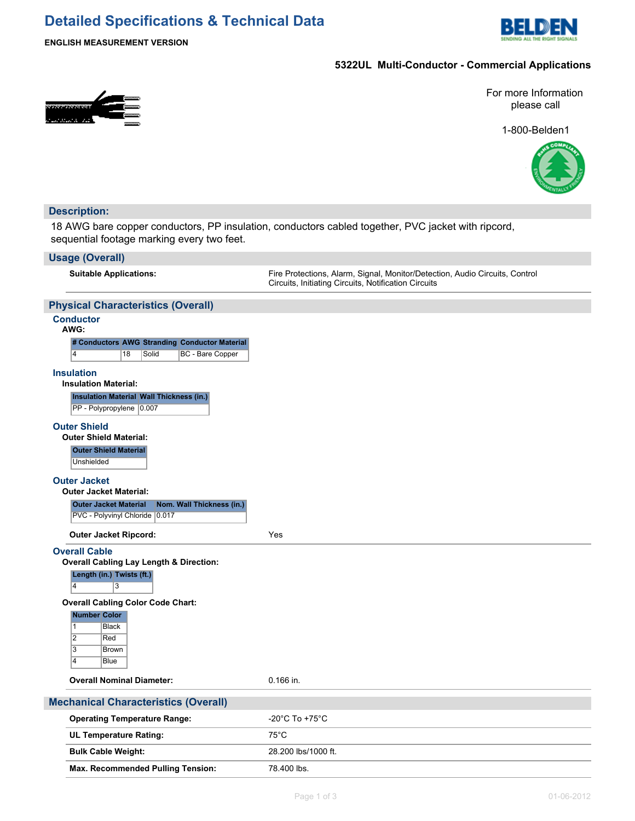## **Detailed Specifications & Technical Data**



**ENGLISH MEASUREMENT VERSION**

#### **5322UL Multi-Conductor - Commercial Applications**



For more Information please call

1-800-Belden1



### **Description:** 18 AWG bare copper conductors, PP insulation, conductors cabled together, PVC jacket with ripcord, sequential footage marking every two feet. **Usage (Overall) Suitable Applications:** Fire Protections, Alarm, Signal, Monitor/Detection, Audio Circuits, Control Circuits, Initiating Circuits, Notification Circuits **Physical Characteristics (Overall) Conductor AWG: # Conductors AWG Stranding Conductor Material** 4 18 Solid BC - Bare Copper **Insulation Insulation Material: Insulation Material Wall Thickness (in.)** PP - Polypropylene 0.007 **Outer Shield Outer Shield Material: Outer Shield Material** Unshielded **Outer Jacket Outer Jacket Material: Outer Jacket Material Nom. Wall Thickness (in.)** PVC - Polyvinyl Chloride 0.017 **Outer Jacket Ripcord:** Yes **Overall Cable Overall Cabling Lay Length & Direction: Length (in.) Twists (ft.)** 4 3 **Overall Cabling Color Code Chart: Number Color** 1 Black 2 Red 3 Brown 4 Blue **Overall Nominal Diameter:** 0.166 in. **Mechanical Characteristics (Overall) Operating Temperature Range:**  $-20^{\circ}$ C To +75°C **UL Temperature Rating:** 75°C **Bulk Cable Weight:** 28.200 lbs/1000 ft.

Max. Recommended Pulling Tension: 78.400 lbs.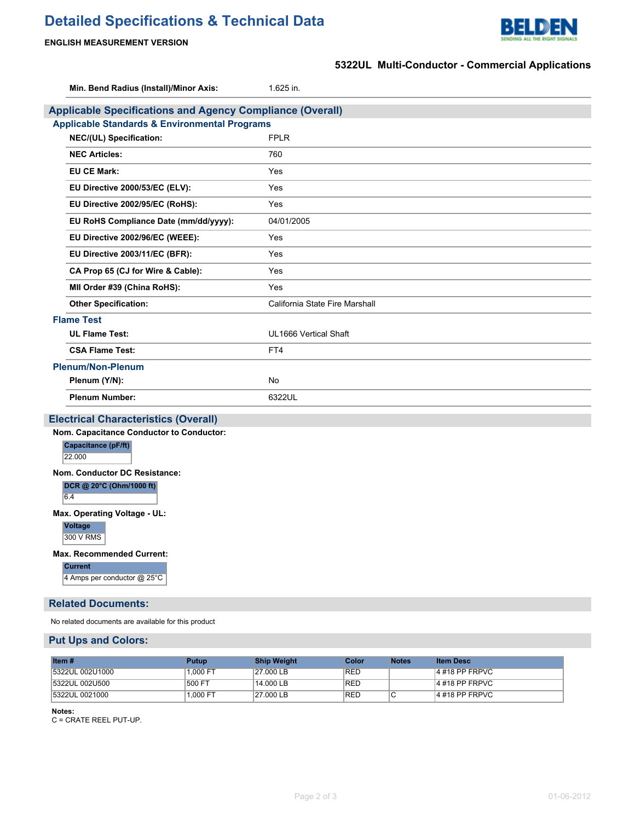# **Detailed Specifications & Technical Data**



#### **ENGLISH MEASUREMENT VERSION**

|                                                                  | 5322UL Multi-Conductor - Commercial Applications |  |  |  |  |
|------------------------------------------------------------------|--------------------------------------------------|--|--|--|--|
| Min. Bend Radius (Install)/Minor Axis:                           | 1.625 in.                                        |  |  |  |  |
| <b>Applicable Specifications and Agency Compliance (Overall)</b> |                                                  |  |  |  |  |
| <b>Applicable Standards &amp; Environmental Programs</b>         |                                                  |  |  |  |  |
| NEC/(UL) Specification:                                          | <b>FPLR</b>                                      |  |  |  |  |
| <b>NEC Articles:</b>                                             | 760                                              |  |  |  |  |
| <b>EU CE Mark:</b>                                               | Yes                                              |  |  |  |  |
| EU Directive 2000/53/EC (ELV):                                   | Yes                                              |  |  |  |  |
| EU Directive 2002/95/EC (RoHS):                                  | Yes                                              |  |  |  |  |
| EU RoHS Compliance Date (mm/dd/yyyy):                            | 04/01/2005                                       |  |  |  |  |
| EU Directive 2002/96/EC (WEEE):                                  | Yes                                              |  |  |  |  |
| EU Directive 2003/11/EC (BFR):                                   | Yes                                              |  |  |  |  |
| CA Prop 65 (CJ for Wire & Cable):                                | Yes                                              |  |  |  |  |
| MII Order #39 (China RoHS):                                      | Yes                                              |  |  |  |  |
| <b>Other Specification:</b>                                      | California State Fire Marshall                   |  |  |  |  |
| <b>Flame Test</b>                                                |                                                  |  |  |  |  |
| <b>UL Flame Test:</b>                                            | UL1666 Vertical Shaft                            |  |  |  |  |
| <b>CSA Flame Test:</b>                                           | FT4                                              |  |  |  |  |
| <b>Plenum/Non-Plenum</b>                                         |                                                  |  |  |  |  |
| Plenum (Y/N):                                                    | <b>No</b>                                        |  |  |  |  |
| <b>Plenum Number:</b>                                            | 6322UL                                           |  |  |  |  |
| <b>Electrical Characteristics (Overall)</b>                      |                                                  |  |  |  |  |
| Nom. Capacitance Conductor to Conductor:                         |                                                  |  |  |  |  |
| Capacitance (pF/ft)<br>22.000                                    |                                                  |  |  |  |  |
| Nom. Conductor DC Resistance:<br>DCR @ 20°C (Ohm/1000 ft)<br>6.4 |                                                  |  |  |  |  |
| Max. Operating Voltage - UL:<br>Voltage<br>300 V RMS             |                                                  |  |  |  |  |
| <b>Max. Recommended Current:</b><br><b>Current</b>               |                                                  |  |  |  |  |

4 Amps per conductor @ 25°C

#### **Related Documents:**

No related documents are available for this product

#### **Put Ups and Colors:**

| Item#           | <b>Putup</b> | <b>Ship Weight</b> | Color      | <b>Notes</b> | <b>Item Desc</b>  |
|-----------------|--------------|--------------------|------------|--------------|-------------------|
| 5322UL 002U1000 | $1.000$ FT   | 27.000 LB          | <b>RED</b> |              | $ 4\#18$ PP FRPVC |
| 5322UL 002U500  | 500 FT       | 14.000 LB          | <b>RED</b> |              | $ 4\#18$ PP FRPVC |
| 5322UL 0021000  | 1.000 FT     | 27,000 LB          | <b>RED</b> | ◡            | $ 4\#18$ PP FRPVC |

**Notes:**

C = CRATE REEL PUT-UP.